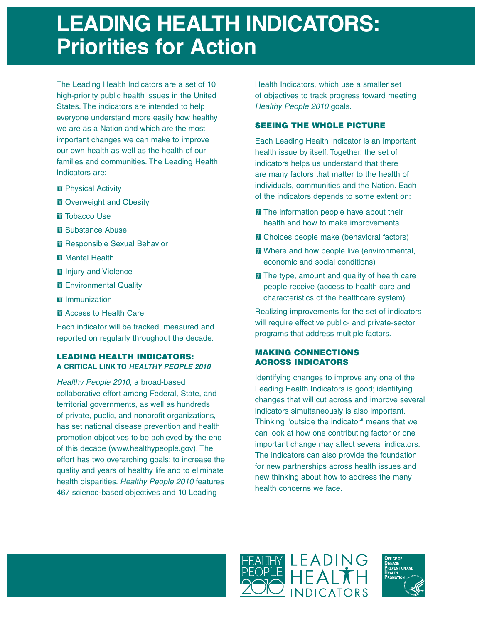# **LEADING HEALTH INDICATORS: Priorities for Action**

The Leading Health Indicators are a set of 10 high-priority public health issues in the United States. The indicators are intended to help everyone understand more easily how healthy we are as a Nation and which are the most important changes we can make to improve our own health as well as the health of our families and communities. The Leading Health Indicators are:

- **M** Physical Activity
- **M** Overweight and Obesity
- **T** Tobacco Use
- **M** Substance Abuse
- **Responsible Sexual Behavior**
- **M** Mental Health
- **In** Injury and Violence
- **M** Environmental Quality
- **I** Immunization
- **M** Access to Health Care

Each indicator will be tracked, measured and reported on regularly throughout the decade.

## **LEADING HEALTH INDICATORS: A CRITICAL LINK TO HEALTHY PEOPLE 2010**

Healthy People 2010, a broad-based collaborative effort among Federal, State, and territorial governments, as well as hundreds of private, public, and nonprofit organizations, has set national disease prevention and health promotion objectives to be achieved by the end of this decade (www.healthypeople.gov). The effort has two overarching goals: to increase the quality and years of healthy life and to eliminate health disparities. Healthy People 2010 features 467 science-based objectives and 10 Leading

Health Indicators, which use a smaller set of objectives to track progress toward meeting Healthy People 2010 goals.

## **SEEING THE WHOLE PICTURE**

Each Leading Health Indicator is an important health issue by itself. Together, the set of indicators helps us understand that there are many factors that matter to the health of individuals, communities and the Nation. Each of the indicators depends to some extent on:

- **The information people have about their** health and how to make improvements
- **T** Choices people make (behavioral factors)
- **M** Where and how people live (environmental, economic and social conditions)
- **The type, amount and quality of health care** people receive (access to health care and characteristics of the healthcare system)

Realizing improvements for the set of indicators will require effective public- and private-sector programs that address multiple factors.

## **MAKING CONNECTIONS ACROSS INDICATORS**

Identifying changes to improve any one of the Leading Health Indicators is good; identifying changes that will cut across and improve several indicators simultaneously is also important. Thinking "outside the indicator" means that we can look at how one contributing factor or one important change may affect several indicators. The indicators can also provide the foundation for new partnerships across health issues and new thinking about how to address the many health concerns we face.